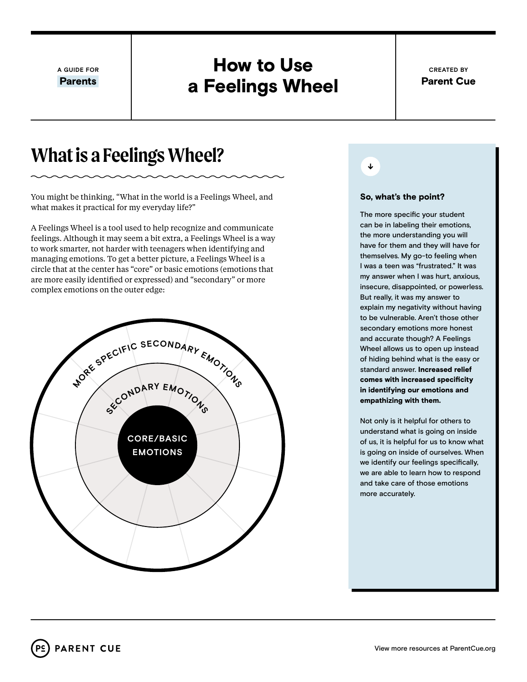**A GUIDE FOR**

Parents

### How to Use a Feelings Wheel

## **What is a Feelings Wheel?**

You might be thinking, "What in the world is a Feelings Wheel, and what makes it practical for my everyday life?"

A Feelings Wheel is a tool used to help recognize and communicate feelings. Although it may seem a bit extra, a Feelings Wheel is a way to work smarter, not harder with teenagers when identifying and managing emotions. To get a better picture, a Feelings Wheel is a circle that at the center has "core" or basic emotions (emotions that are more easily identified or expressed) and "secondary" or more complex emotions on the outer edge:





### So, what's the point?

The more specific your student can be in labeling their emotions, the more understanding you will have for them and they will have for themselves. My go-to feeling when I was a teen was "frustrated." It was my answer when I was hurt, anxious, insecure, disappointed, or powerless. But really, it was my answer to explain my negativity without having to be vulnerable. Aren't those other secondary emotions more honest and accurate though? A Feelings Wheel allows us to open up instead of hiding behind what is the easy or standard answer. Increased relief comes with increased specificity in identifying our emotions and empathizing with them.

Not only is it helpful for others to understand what is going on inside of us, it is helpful for us to know what is going on inside of ourselves. When we identify our feelings specifically, we are able to learn how to respond and take care of those emotions more accurately.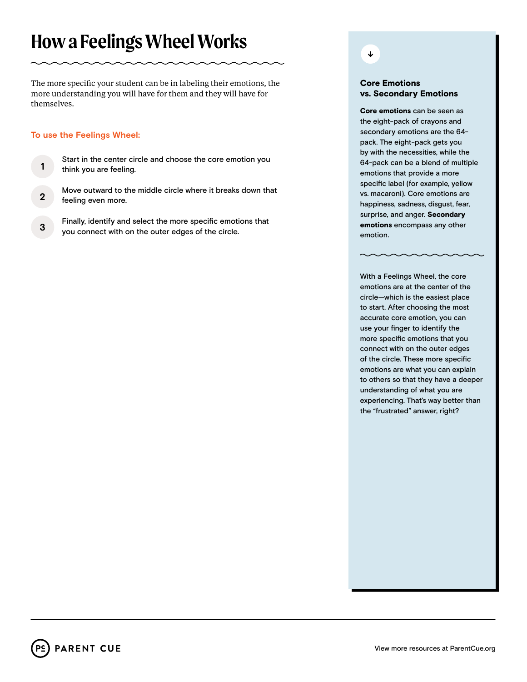# **How a Feelings Wheel Works**

The more specific your student can be in labeling their emotions, the more understanding you will have for them and they will have for themselves.

### **To use the Feelings Wheel:**

Start in the center circle and choose the core emotion you think you are feeling. **1**

Move outward to the middle circle where it breaks down that

- feeling even more. **2**
- Finally, identify and select the more specific emotions that you connect with on the outer edges of the circle. **3**

### ↓

### Core Emotions vs. Secondary Emotions

Core emotions can be seen as the eight-pack of crayons and secondary emotions are the 64 pack. The eight-pack gets you by with the necessities, while the 64-pack can be a blend of multiple emotions that provide a more specific label (for example, yellow vs. macaroni). Core emotions are happiness, sadness, disgust, fear, surprise, and anger. Secondary emotions encompass any other emotion.

With a Feelings Wheel, the core emotions are at the center of the circle—which is the easiest place to start. After choosing the most accurate core emotion, you can use your finger to identify the more specific emotions that you connect with on the outer edges of the circle. These more specific emotions are what you can explain to others so that they have a deeper understanding of what you are experiencing. That's way better than the "frustrated" answer, right?

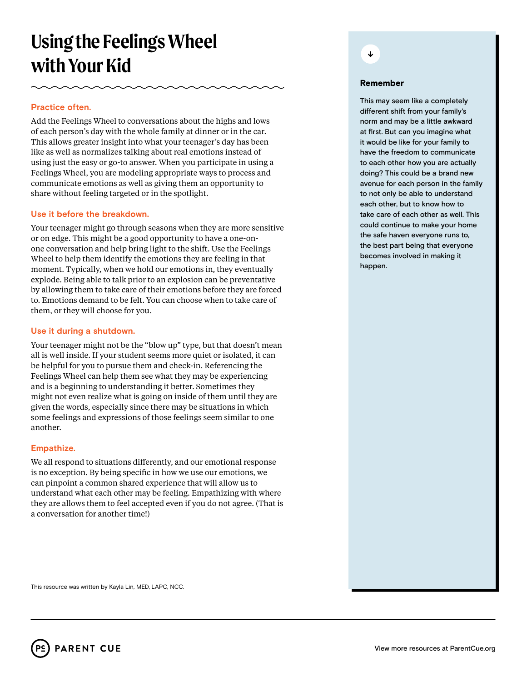# **Using the Feelings Wheel with Your Kid**

### **Practice often.**

Add the Feelings Wheel to conversations about the highs and lows of each person's day with the whole family at dinner or in the car. This allows greater insight into what your teenager's day has been like as well as normalizes talking about real emotions instead of using just the easy or go-to answer. When you participate in using a Feelings Wheel, you are modeling appropriate ways to process and communicate emotions as well as giving them an opportunity to share without feeling targeted or in the spotlight.

### **Use it before the breakdown.**

Your teenager might go through seasons when they are more sensitive or on edge. This might be a good opportunity to have a one-onone conversation and help bring light to the shift. Use the Feelings Wheel to help them identify the emotions they are feeling in that moment. Typically, when we hold our emotions in, they eventually explode. Being able to talk prior to an explosion can be preventative by allowing them to take care of their emotions before they are forced to. Emotions demand to be felt. You can choose when to take care of them, or they will choose for you.

### **Use it during a shutdown.**

Your teenager might not be the "blow up" type, but that doesn't mean all is well inside. If your student seems more quiet or isolated, it can be helpful for you to pursue them and check-in. Referencing the Feelings Wheel can help them see what they may be experiencing and is a beginning to understanding it better. Sometimes they might not even realize what is going on inside of them until they are given the words, especially since there may be situations in which some feelings and expressions of those feelings seem similar to one another.

### **Empathize.**

We all respond to situations differently, and our emotional response is no exception. By being specific in how we use our emotions, we can pinpoint a common shared experience that will allow us to understand what each other may be feeling. Empathizing with where they are allows them to feel accepted even if you do not agree. (That is a conversation for another time!)

↓

#### Remember

This may seem like a completely different shift from your family's norm and may be a little awkward at first. But can you imagine what it would be like for your family to have the freedom to communicate to each other how you are actually doing? This could be a brand new avenue for each person in the family to not only be able to understand each other, but to know how to take care of each other as well. This could continue to make your home the safe haven everyone runs to, the best part being that everyone becomes involved in making it happen.

This resource was written by Kayla Lin, MED, LAPC, NCC.